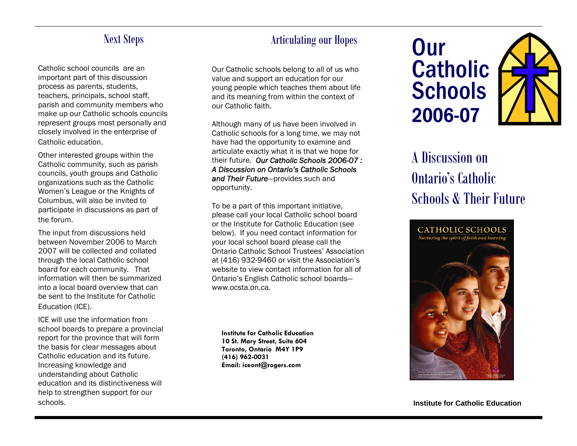## Next Steps

Catholic school councils are an important part of this discussion process as parents, students, teachers, principals, school staff, parish and community members who make up our Catholic schools councils represent groups most personally and closely involved in the enterprise of Catholic education.

Other interested groups within the Catholic community, such as parish councils, youth groups and Catholic organizations such as the Catholic Women's League or the Knights of Columbus, will also be invited to participate in discussions as part of the forum.

The input from discussions held between November 2006 to March 2007 will be collected and collated through the local Catholic school board for each community. That information will then be summarized into a local board overview that can be sent to the Institute for Catholic Education (ICE).

ICE will use the information from school boards to prepare a provincial report for the province that will form the basis for clear messages about Catholic education and its future. Increasing knowledge and understanding about Catholic education and its distinctiveness will help to strengthen support for our schools.

## Articulating our Hopes

Our Catholic schools belong to all of us who value and support an education for our young people which teaches them about life and its meaning from within the context of our Catholic faith.

Although many of us have been involved in Catholic schools for a long time, we may not have had the opportunity to examine and articulate exactly what it is that we hope for their future. *Our Catholic Schools 2006-07 : A Discussion on Ontario's Catholic Schools and Their Future*—provides such and opportunity.

website to view contact information for all of To be a part of this important initiative, please call your local Catholic school board or the Institute for Catholic Education (see below). If you need contact information for your local school board please call the Ontario Catholic School Trustees' Association at (416) 932-9460 or visit the Association's Ontario's English Catholic school boards www.ocsta.on.ca.

**Institute for Catholic Education 10 St. Mary Street, Suite 604 Toronto, Ontario M4Y 1P9 (416) 962-0031 Email: iceont@rogers.com** 

**Our Catholic Schools** 2006-07

## A Discussion on Ontario's Catholic Schools & Their Future